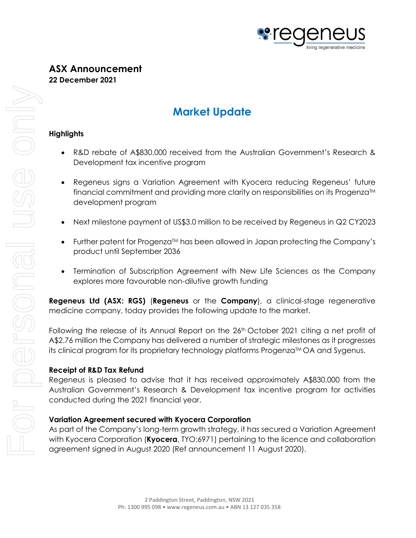

## **ASX Announcement 22 December 2021**

# **Market Update**

#### **Highlights**

- R&D rebate of A\$830,000 received from the Australian Government's Research & Development tax incentive program
- Regeneus signs a Variation Agreement with Kyocera reducing Regeneus' future financial commitment and providing more clarity on responsibilities on its Progenza™ development program
- Next milestone payment of US\$3.0 million to be received by Regeneus in Q2 CY2023
- Further patent for ProgenzaTM has been allowed in Japan protecting the Company's product until September 2036
- Termination of Subscription Agreement with New Life Sciences as the Company explores more favourable non-dilutive growth funding

**Regeneus Ltd (ASX: RGS)** (**Regeneus** or the **Company**), a clinical-stage regenerative medicine company, today provides the following update to the market.

Following the release of its Annual Report on the 26<sup>th</sup> October 2021 citing a net profit of A\$2.76 million the Company has delivered a number of strategic milestones as it progresses its clinical program for its proprietary technology platforms Progenza™ OA and Sygenus.

## **Receipt of R&D Tax Refund**

Regeneus is pleased to advise that it has received approximately A\$830,000 from the Australian Government's Research & Development tax incentive program for activities conducted during the 2021 financial year.

## **Variation Agreement secured with Kyocera Corporation**

As part of the Company's long-term growth strategy, it has secured a Variation Agreement with Kyocera Corporation (**Kyocera**, TYO:6971) pertaining to the licence and collaboration agreement signed in August 2020 (Ref announcement 11 August 2020).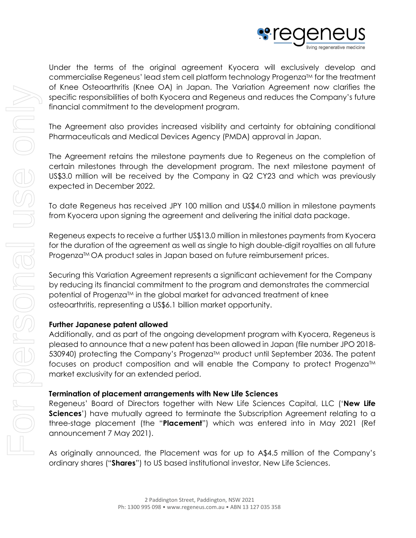

Under the terms of the original agreement Kyocera will exclusively develop and commercialise Regeneus' lead stem cell platform technology Progenza™ for the treatment of Knee Osteoarthritis (Knee OA) in Japan. The Variation Agreement now clarifies the specific responsibilities of both Kyocera and Regeneus and reduces the Company's future financial commitment to the development program.

The Agreement also provides increased visibility and certainty for obtaining conditional Pharmaceuticals and Medical Devices Agency (PMDA) approval in Japan.

The Agreement retains the milestone payments due to Regeneus on the completion of certain milestones through the development program. The next milestone payment of US\$3.0 million will be received by the Company in Q2 CY23 and which was previously expected in December 2022.

To date Regeneus has received JPY 100 million and US\$4.0 million in milestone payments from Kyocera upon signing the agreement and delivering the initial data package.

Regeneus expects to receive a further US\$13.0 million in milestones payments from Kyocera for the duration of the agreement as well as single to high double-digit royalties on all future Progenza™ OA product sales in Japan based on future reimbursement prices.

Securing this Variation Agreement represents a significant achievement for the Company by reducing its financial commitment to the program and demonstrates the commercial potential of Progenza™ in the global market for advanced treatment of knee osteoarthritis, representing a US\$6.1 billion market opportunity.

## **Further Japanese patent allowed**

Additionally, and as part of the ongoing development program with Kyocera, Regeneus is pleased to announce that a new patent has been allowed in Japan (file number JPO 2018- 530940) protecting the Company's Progenza™ product until September 2036. The patent focuses on product composition and will enable the Company to protect Progenza<sup>TM</sup> market exclusivity for an extended period.

## **Termination of placement arrangements with New Life Sciences**

Regeneus' Board of Directors together with New Life Sciences Capital, LLC ('**New Life Sciences')** have mutually agreed to terminate the Subscription Agreement relating to a three-stage placement (the "**Placement**") which was entered into in May 2021 (Ref announcement 7 May 2021).

As originally announced, the Placement was for up to A\$4.5 million of the Company's ordinary shares ("**Shares**") to US based institutional investor, New Life Sciences.